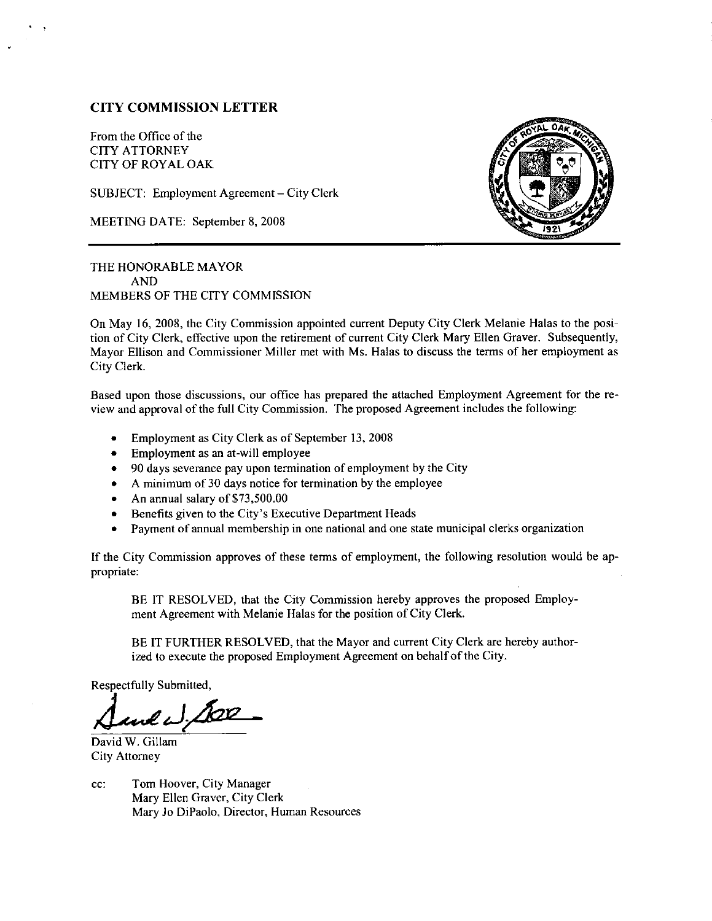# CITY COMMISSION LETTER

From the Office of the CITY ATTORNEY CITY OF ROYAL OAK

SUBJECT: Employment Agreement - City Clerk

MEETING DATE: September 8, 2008



THE HONORABLE MAYOR AND MEMBERS OF THE CITY COMMISSION

On May 16, 2008, the City Commission appointed current Deputy City Clerk Melanie Halas to the posltion of City Clerk, effective upon the retirement of current City Clerk Mary Ellen Graver. Subsequently, Mayor Ellison and Commissioner Miller met with Ms. Halas to discuss the terms of her employment as City Clerk.

Based upon those discussions, our office has prepared the attached Employment Agreement for the review and approval of the full City Commission. The proposed Agreement includes the following:

- . Employment as City Clerk as of September 13, <sup>2008</sup>
- $\bullet$  Employment as an at-will employee
- $\bullet$  90 days severance pay upon termination of employment by the City
- A minimum of 30 days notice for termination by the employee
- An annual salary of  $$73,500,00$
- o Benefits given to the City's Executive Department Heads
- . Payment of annual membership in one national and one state municipal clerks organization

If the City Commission approves of these terms of employment, the following resolution would be appropriate:

BE IT RESOLVED, that the city Commission hereby approves the proposed Employment Agreement with Melanie Halas for the position of City Clerk.

BE IT FURTHER RESOLVED, that the Mayor and current City Clerk are hereby authorized to execute the proposed Employment Agreement on behalf of the City.

Respectfully Submitted,

David W. Gillam City Attorney

cc: Tom Hoover, City Manager Mary Ellen Graver, City Clerk Mary Jo DiPaolo, Director, Human Resources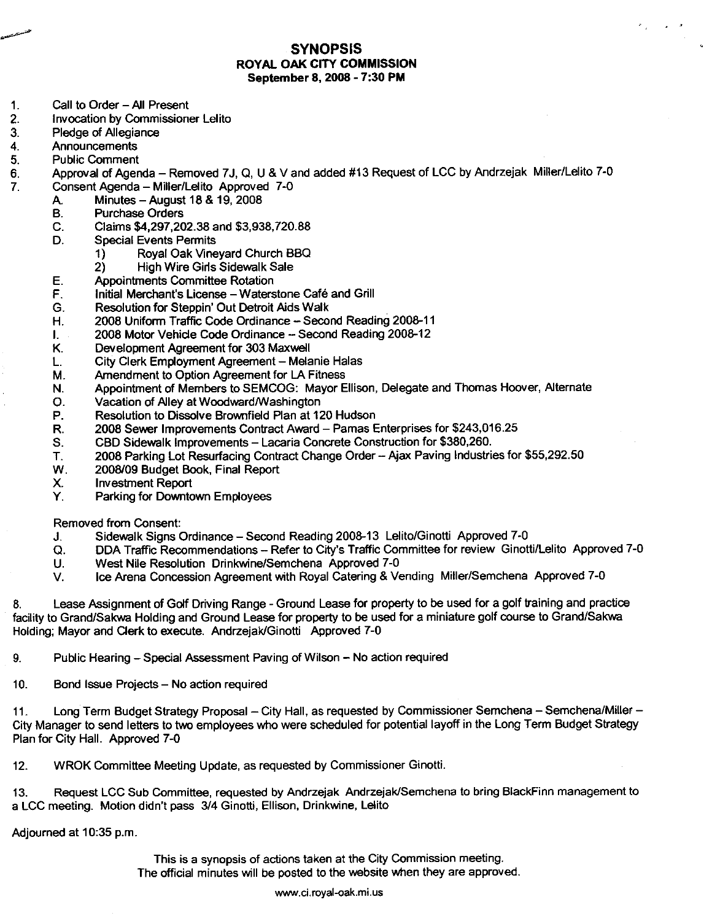#### **SYNOPSIS ROYAL OAK CITY COMMISSION** September 8, 2008 - 7:30 PM

- $1.$ Call to Order - All Present
- $2.$ **Invocation by Commissioner Lelito**
- 3. Pledge of Allegiance
- Announcements  $\overline{4}$ .
- **Public Comment** 5.
- Approval of Agenda Removed 7J, Q, U & V and added #13 Request of LCC by Andrzejak Miller/Lelito 7-0 6. 7.
	- Consent Agenda Miller/Lelito Approved 7-0
		- Minutes August 18 & 19, 2008 A.
		- **B. Purchase Orders**
		- Claims \$4,297,202.38 and \$3,938,720.88 C.
		- D. **Special Events Permits** 
			- $1)$ Royal Oak Vineyard Church BBQ
			- **High Wire Girls Sidewalk Sale**  $\mathbf{2}$
		- **Appointments Committee Rotation** Ε.
		- F. Initial Merchant's License - Waterstone Café and Grill
		- Resolution for Steppin' Out Detroit Aids Walk G.
		- 2008 Uniform Traffic Code Ordinance Second Reading 2008-11 Η.
		- 2008 Motor Vehicle Code Ordinance Second Reading 2008-12  $\mathbf{L}$
		- Κ. Development Agreement for 303 Maxwell
		- City Clerk Employment Agreement Melanie Halas L.
		- Amendment to Option Agreement for LA Fitness М.
		- Appointment of Members to SEMCOG: Mayor Ellison, Delegate and Thomas Hoover, Alternate N.
		- Vacation of Alley at Woodward/Washington О.
		- P. Resolution to Dissolve Brownfield Plan at 120 Hudson
		- 2008 Sewer Improvements Contract Award Pamas Enterprises for \$243,016.25 R.
		- CBD Sidewalk Improvements Lacaria Concrete Construction for \$380,260. S.
		- 2008 Parking Lot Resurfacing Contract Change Order -- Ajax Paving Industries for \$55,292.50 T.
		- W. 2008/09 Budget Book, Final Report
		- Х. **Investment Report**
		- Y. Parking for Downtown Employees

**Removed from Consent:** 

- Sidewalk Signs Ordinance Second Reading 2008-13 Lelito/Ginotti Approved 7-0 J.
- DDA Traffic Recommendations -- Refer to City's Traffic Committee for review Ginotti/Lelito Approved 7-0  $\Omega$ .
- $\mathbf{u}$ . West Nile Resolution Drinkwine/Semchena Approved 7-0
- V. Ice Arena Concession Agreement with Royal Catering & Vending Miller/Semchena Approved 7-0

Lease Assignment of Golf Driving Range - Ground Lease for property to be used for a golf training and practice 8. facility to Grand/Sakwa Holding and Ground Lease for property to be used for a miniature golf course to Grand/Sakwa Holding; Mayor and Clerk to execute. Andrzejak/Ginotti Approved 7-0

9. Public Hearing - Special Assessment Paving of Wilson - No action required

 $10.$ Bond Issue Projects - No action required

Long Term Budget Strategy Proposal - City Hall, as requested by Commissioner Semchena - Semchena/Miller - $11.$ City Manager to send letters to two employees who were scheduled for potential layoff in the Long Term Budget Strategy Plan for City Hall. Approved 7-0

 $12.$ WROK Committee Meeting Update, as requested by Commissioner Ginotti.

Request LCC Sub Committee, requested by Andrzejak Andrzejak/Semchena to bring BlackFinn management to 13. a LCC meeting. Motion didn't pass 3/4 Ginotti, Ellison, Drinkwine, Lelito

Adjourned at 10:35 p.m.

This is a synopsis of actions taken at the City Commission meeting. The official minutes will be posted to the website when they are approved.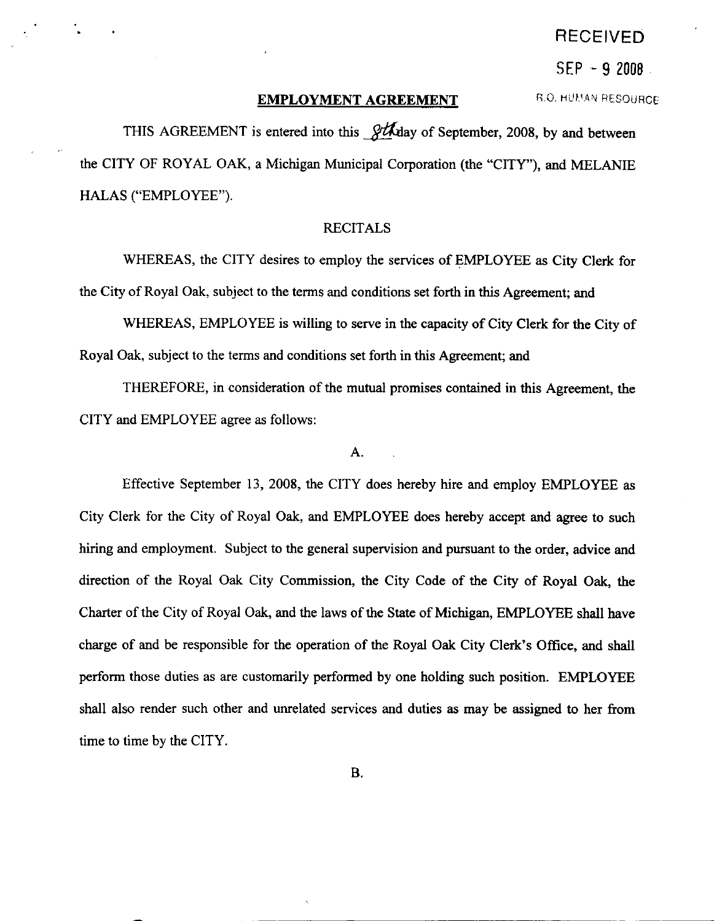# RECEIVED

 $SEP - 9 2008$ 

# EMPLOYMENT AGREEMENT

fi.Q. Htll\.1,Ar,t RESOURCF

THIS AGREEMENT is entered into this **officially** of September, 2008, by and between the CITY OF ROYAL OAK, a Michigan Municipal Corporation (the "CITY"), and MELANIE HALAS ("EMPLOYEE").

# RECITALS

WHEREAS, the CITY desires to employ the services of EMPLOYEE as City Clerk for the City of Royal Oak, subject to the terms and conditions set forth in this Agreement; and

WHEREAS, EMPLOYEE is willing to serve in the capacity of City Clerk for the City of Royal Oak, subject to the terms and conditions set forth in this Agreement; and

THEREFORE, in consideration of the mutual promises contained in this Agreement, the CITY and EMPLOYEE agree as follows:

# A.

Effective September 13,2008, the CITY does hereby hire and employ EMPLOYEE as City Clerk for the City of Royal Oak, and EMPLOYEE does hereby accept and agree to such hiring and employment. Subject to the general supervision and pursuant to the order, advice and direction of the Royal Oak City Commission, the City Code of the City of Royal Oak, the Charter of the City of Royal Oak, and the laws of the State of Michigan, EMPLOYEE shall have charge of and be responsible for the operation of the Royal Oak City Clerk's Office, and shall perform those duties as are customarily performed by one holding such position. EMPLOYEE shall also render such other and unrelated services and duties as may be assigned to her from time to time by the CITY.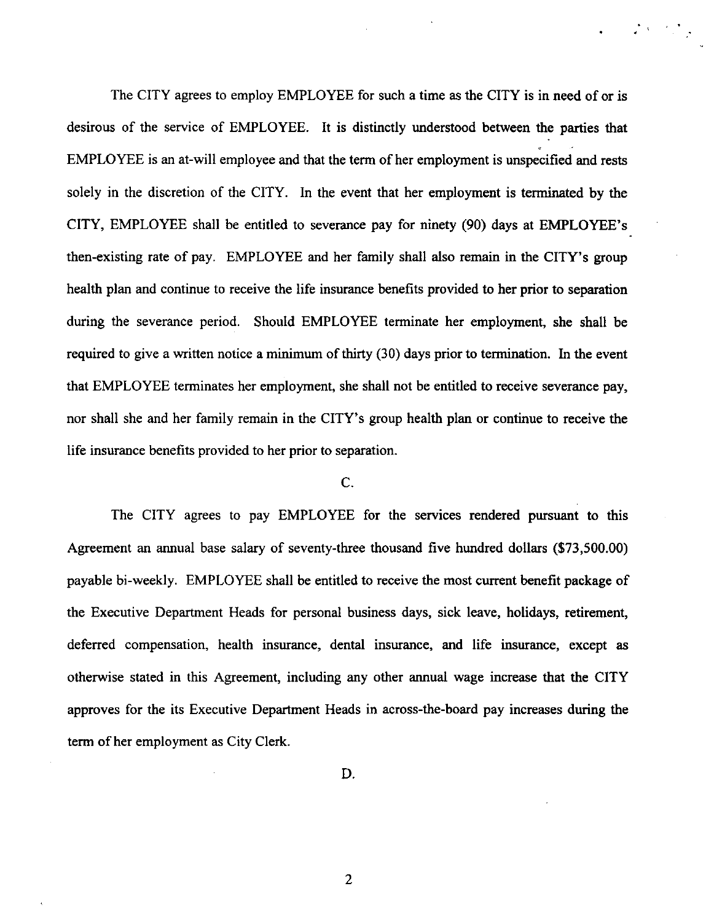The CITY agrees to employ EMPLOYEE for such a time as the CITY is in need of or is desirous of the service of EMPLOYEE. It is distinctly understood between the parties that EMPLOYEE is an at-will employee and that the term of her employment is unspecified and rests solely in the discretion of the CITY. In the event that her employment is terminated by the CITY, EMPLOYEE shall be entitled to severance pay for ninety (90) days at EMPLOYEE's. then-existing rate of pay. EMPLOYEE and her family shall also remain in the CITY's group health plan and continue to receive the life insurance benefits provided to her prior to separation during the severance period. Should EMPLOYEE terminate her employment, she shall be required to give a written notice a minimum of thirty (30) days prior to termination. In the event that EMPLOYEE terminates her employment, she shall not be entitled to receive severance pay, nor shall she and her family remain in the CITY's group health plan or continue to receive the life insurance benefits provided to her prior to separation.

 $\label{eq:2} \mathcal{L}^{\text{max}}(S) = \mathcal{L}^{\text{max}}(S)$ 

# c.

The CITY agrees to pay EMPLOYEE for the services rendered pursuant to this Agreement an annual base salary of seventy-three thousand five hundred dollars (\$73,500.00) payable bi-weekly. EMPLOYEE shall be entitled to receive the most current benefit package of the Executive Department Heads for personal business days, sick leave, holidays, retirement, deferred compensation, health insurance, dental inswance, and life insurance, except as otherwise stated in this Agreement, including any other annual wage increase that the CITY approves for the its Executive Department Heads in across-the-board pay increases during the term of her employment as City Clerk.

D.

 $\overline{2}$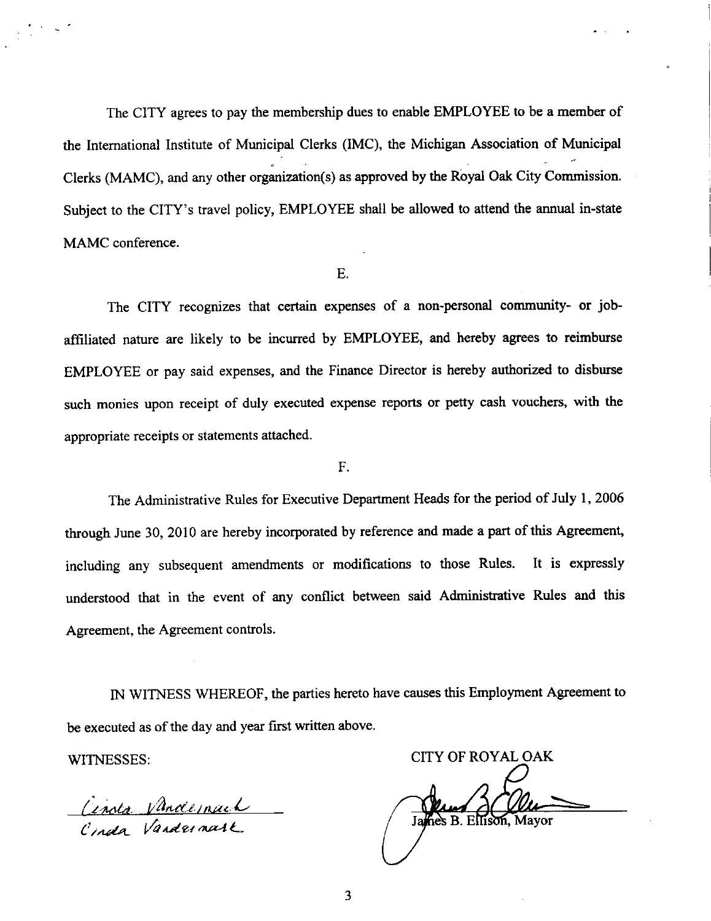The CITY agrees to pay the membership dues to enable EMPLOYEE to be a member of the Intemational Institute of Municipal Clerks (IMC), the Michigan Association of Municipal Clerks (MAMC), and any other organization(s) as approved by the Royal Oak City Commission. Subject to the CITY's travel policy, EMPLOYEE shall be allowed to attend the annual in-state MAMC conference.

# E.

The CITY recognizes that certain expenses of a non-personal community- or jobaffiliated nature are likely to be incurred by EMPLOYEE, and hereby agrees to reimburse EMPLOYEE or pay said expenses, and the Finance Director is hereby authorized to disburse such monies upon receipt of duly executed expense reports or petty cash vouchers, with the appropriate receipts or statements attached.

F.

The Administrative Rules for Executive Depanment Heads for the period of July l, <sup>2006</sup> through June 30, 2010 are hereby incorporated by reference and made a part of this Agreement, including any subsequent amendments or modifications to those Rules. It is expressly understood that in the event of any conflict between said Administrative Rules and this Agreement, the Agreement controls.

IN WITNESS WHEREOF, the parties hereto have causes this Employment Agreement to be executed as of the day and year first written above.

Cinota Vandernach

WITNESSES: CITY OF ROYAL OAK hes B. Ellison, Mayor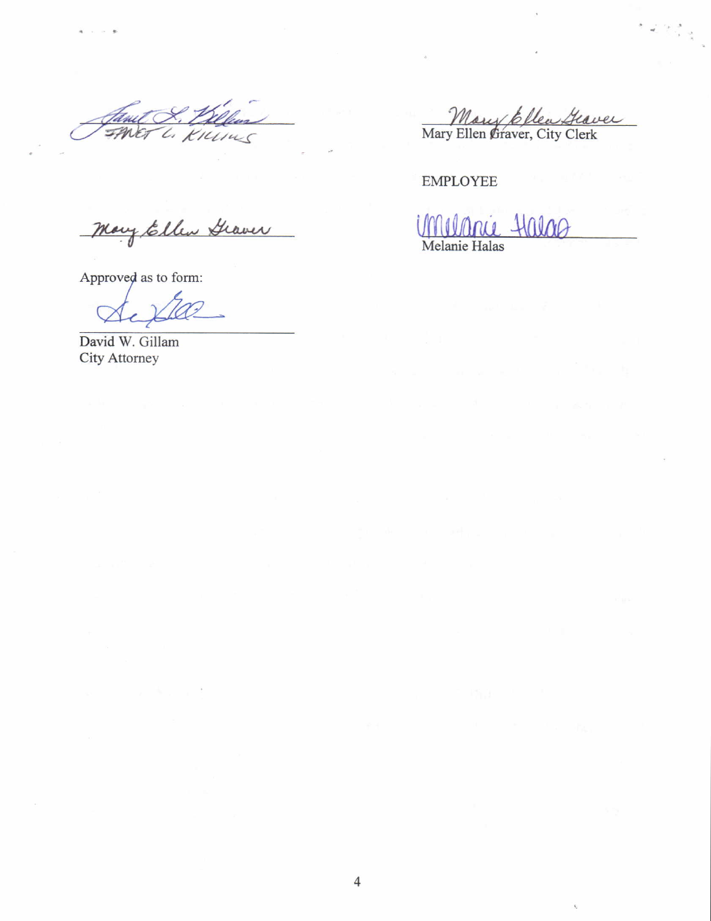L. KILING Int

Mary Ellen Graver

Approved as to form:

γ,

David W. Gillam CityAttomey

Mory Ellen Graver

EMPLOYEE

Halag Melanie Halas

4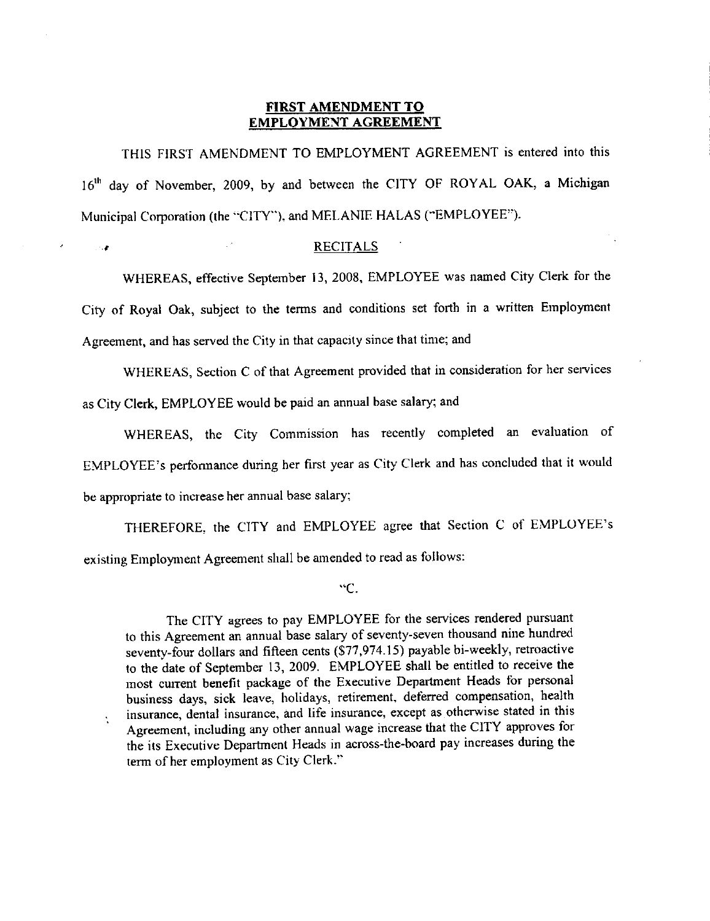#### FIRST AMENDMENT TO EMPLOYMENT AGREEMENT

'fHlS FIRST AMENDMENT TO EMPLOYMENT AGREEMENT is entered into this 16<sup>th</sup> day of November, 2009, by and between the CITY OF ROYAL OAK, a Michigan Municipal Corporation (the "ClTY"). and MEI-ANIE HALAS (\*EMPLOYEE').

#### **Example 2018 RECITALS**

WHEREAS, effective Septernber 13, 2008, EMPLOYEE was named City Clerk for the city of Royal oak, subject to the terms and conditions set forth in a written Employment Agreement, and has served the City in that capacity since thal time; and

WHEREAS, Section C of that Agreement provided that in consideration for her services as City Clerk, EMPLOYEE would be paid an annual base salary; and

WHEREAS, the City Commission has recently completed an evaluation of EMPLOYEE's performance during her first year as City Clerk and has concluded that it would bc appropriate to increase her annual base salary;

THEREFORE. the CITY and EMPLOYEE agree that Seclion C of EMPLOYEE's existing Employment Agreement shall be amended to read as follows:

"c.

The CITY agrees to pay EMPLOYEE for the services rendered pursuant to this Agreement an annual base salary of seventy-seven thousand nine hundred seventy-four dollars and fifteen cents (577,974.15) payable bi-weekly, retroactive to the date of September 13, 2009. EMPLOYEE shall be entitled to receive the most current benefit package of the Executive Department Heads for personal business days, sick leave, holidays, retirement, deferred compensation, health insurance, dental insurance, and life insurance, except as otherwise stated in this Agreement, including any other annual wage increase that the CITY approves for the its Executive Department Heads in across-the-board pay increases during the term of her employment as City Clerk."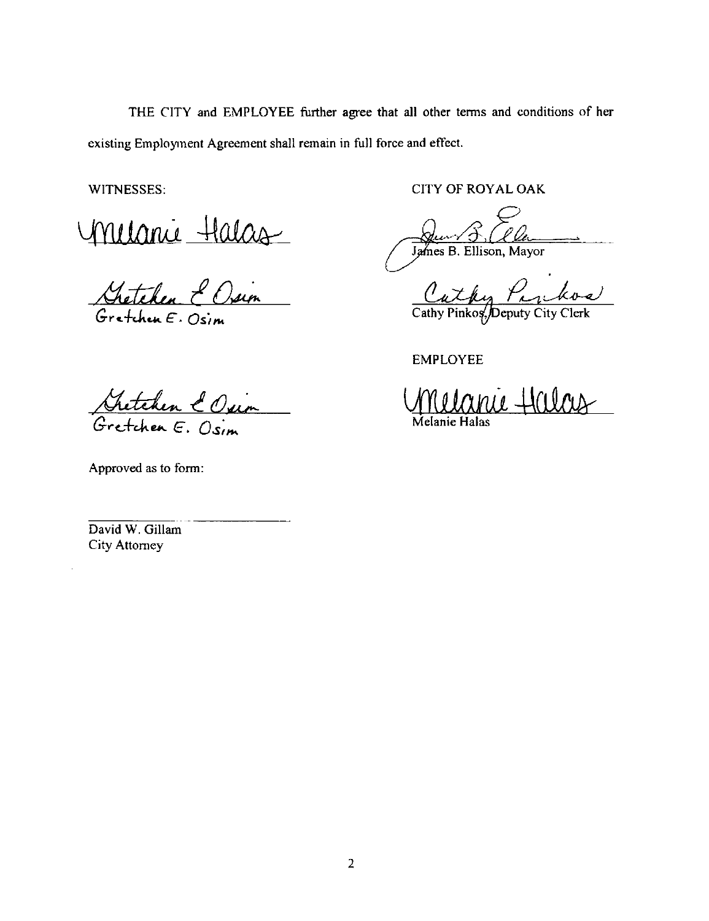WITNESSES:

Milanie Halas

 $G$ retchen  $\epsilon$ . Osim

**CITY OF ROYAL OAK** 

Jun 5, (Clamenter)

Cathy Parkos

**EMPLOYEE** 

inie Hilous

Kretchen & Osin

Approved as to form:

David W. Gillam **City Attorney**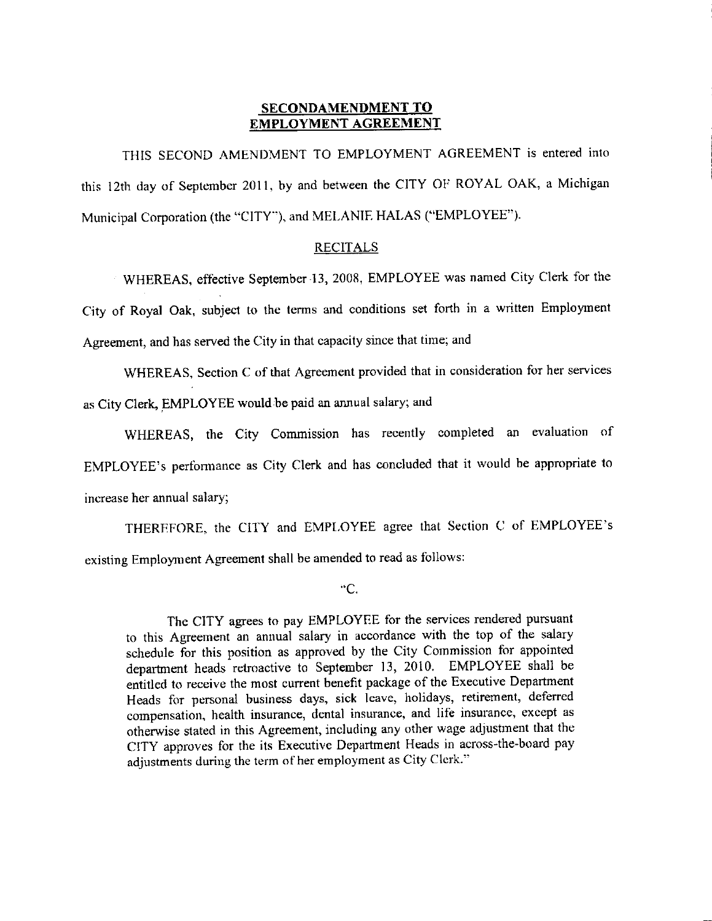# SECONDAMENDMENT TO EMPLOYMENT AGREEMENT

THIS SECOND AMENDMENT TO EMPLOYMENT AGREEMENT is entered into this 12th day of September 2011, by and between the CITY OF ROYAL OAK, a Michigan Municipal Corporation (the "CITY"), and MELANIE HALAS ("EMPLOYEE").

# RECITALS

WHEREAS, effective September 13, 2008, EMPLOYEE was named City Clerk for the City of Royal Oak, subject to the tenns and conditions set forth in a written Employment Agreement, and has served the City in that capacity since that time; and

WHEREAS, Section  $C$  of that Agreement provided that in consideration for her services as City Clerk, EMPLOYEE would be paid an annual salary; and

WHEREAS, the City Commission has recently completed an evaluation of EMPLOYEE's performance as City Clerk and has concluded that it would be appropriate to increase her annual salary;

THERFFORE, the CITY and EMPLOYEE agree that Section C of EMPLOYEE's existing Employment Agreement shall be amended to read as follows:

"c.

The CITY agrees to pay EMPLOYEE for the services rendered pursuant to this Agreement an annual salary in accordance with the top of the salary schedule for this position as approved by the City Commission for appointed department hcads retroactive to September 13, 2010. EMPLOYEE shall be entitled to receive the most current benefit package of the Executive Department Heads for personal business days, sick leave, holidays, retirement, deferred compensation, health insurance, dental insurance, and life insurance, except as otherwise stated in this Agreement, including any other wage adjushnent that the CITY approves for the its Executive Department Heads in across-the-board pay adjustments during the term of her employment as City Clcrk."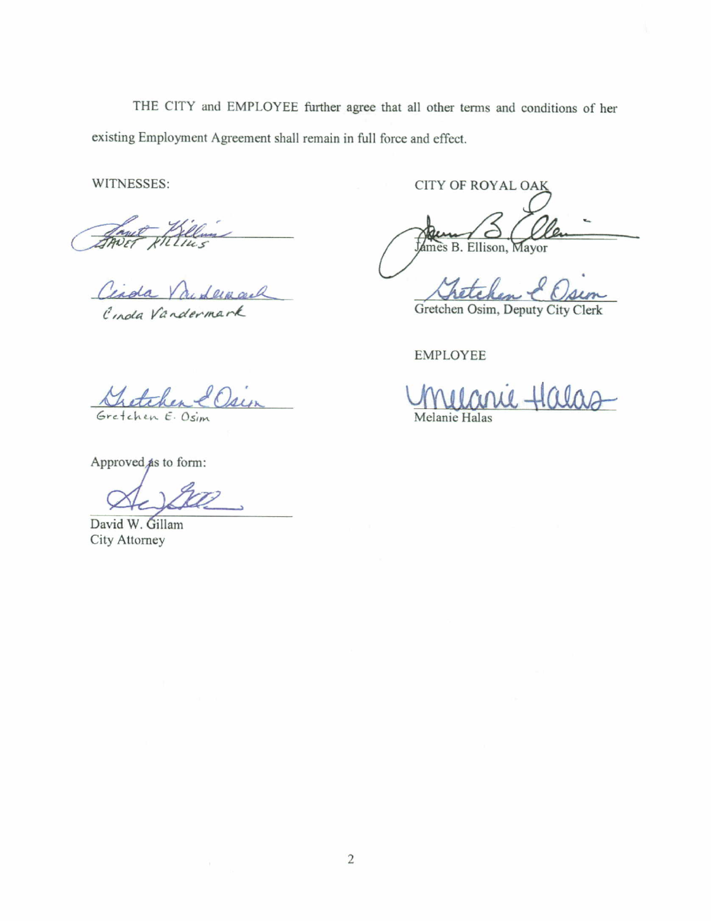WITNESSES:

Cinda Vandermark

Cinda Vandermark

Gretchen E. Osim

Approved as to form:

David W. Gillam City Attorney

CITY OF ROYAL OAK

James B. Ellison, Mayor

Gretchen Osim, Deputy City Clerk

**EMPLOYEE** 

Melanie Halas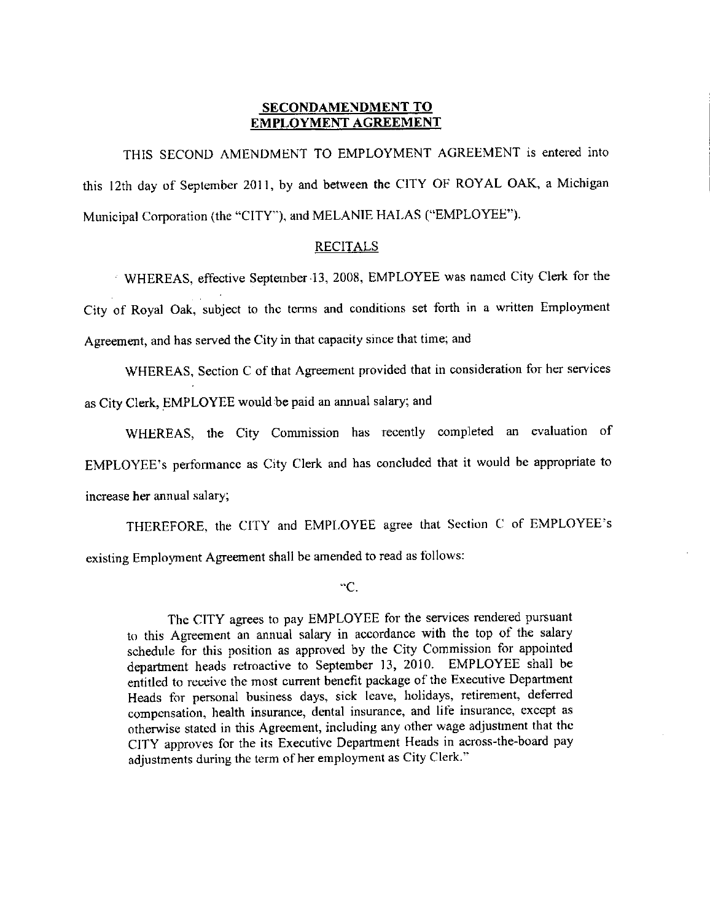## SECONDAMENDMENT TO EMPLOYMENT AGREEMENT

THIS SECOND AMENDMENT TO EMPLOYMENT AGREEMENT is entered into this 12th day of September 2011, by and between the CITY OF ROYAL OAK, a Michigan Municipal Corporation (the "CITY"), and MELANIE HALAS ("EMPLOYEE").

#### **RECITALS**

WHEREAS, effective Septernber'13, 2008, EMPLOYEE was namcd City Clerk for the City of Royal Oak, subject to the terms and conditions set forth in a written Employment Agreement, and has served the City in that capacity since that time; and

WHEREAS, Section C of that Agreement provided that in consideration for her services as City Clerk, EMPLOYEE would be paid an annual salary; and

WHEREAS, the City Commission has recently completed an evaluation of EMPLOYEE's performance as City Clerk and has concluded that it would be appropriate to increase her annual salary;

THEREFORE, the CITY and EMPLOYEE agree that Section C of EMPLOYEE's existing Employment Agreement shall be amended to read as follows:

\*c.

The CITY agrees to pay EMPLOYEE for the services rendered pursuant to this Agreement an annual salary in accordance with the top of the salary schedule for this position as approved by the City Commission for appointed department heads retroactive to September 13, 2010. EMPLOYEE shall be entitled to receive the most current benefit package of the Executive Department Heads for personal business days, sick lcave, holidays, retirement, deferred compensation, health insurance, dental insurance, and life insurance, except as otherwise stated in this Agreement, including any other wage adjustment that thc CITY approves for the its Executive Department Heads in across-the-board pay adjustments during the term of her employment as City Clerk."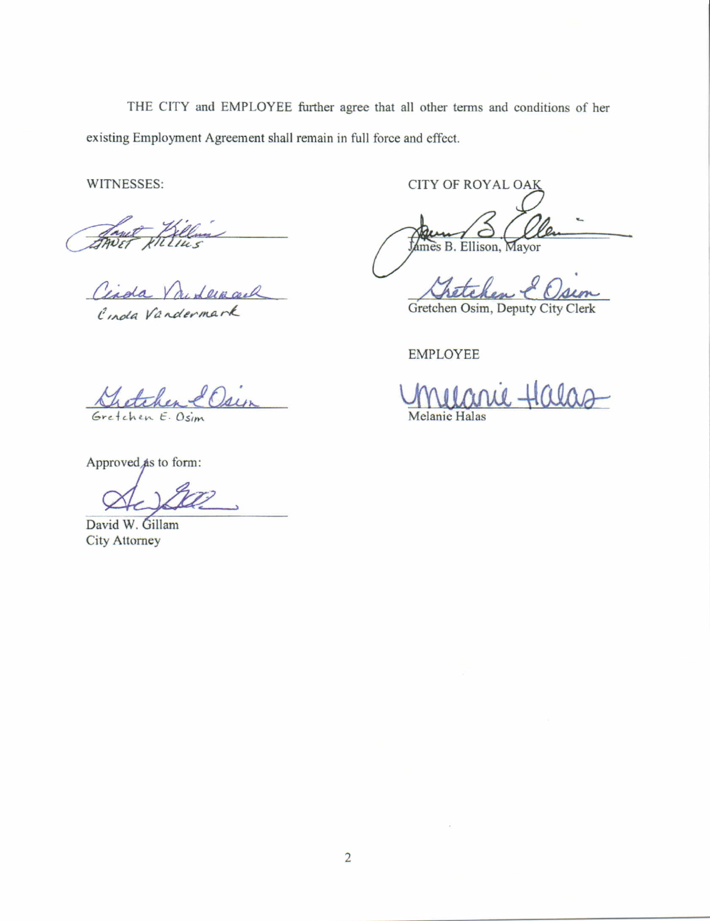WITNESSES:

Cinda Vandermark

Einda Vandermark

Gretchen E. Osim

Approved as to form:

David W. Gillam **City Attorney** 

**CITY OF ROYAL OAK** 

James B. Ellison, Mayor

Gretchen Osim, Deputy City Clerk

**EMPLOYEE** 

 $\mu$   $\pm$ alac Melanie Halas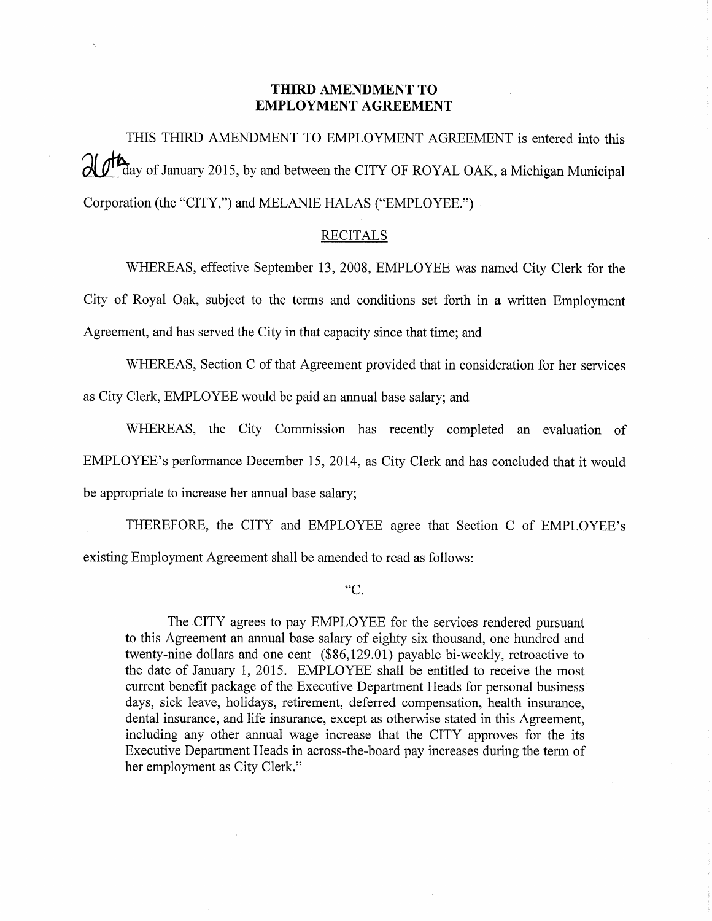# THIRD AMENDMENT TO **EMPLOYMENT AGREEMENT**

THIS THIRD AMENDMENT TO EMPLOYMENT AGREEMENT is entered into this  $\mathcal{U}$   $\mathcal{U}^{\text{th}}$  day of January 2015, by and between the CITY OF ROYAL OAK, a Michigan Municipal Corporation (the "CITY,") and MELANIE HALAS ("EMPLOYEE.")

# **RECITALS**

WHEREAS, effective September 13, 2008, EMPLOYEE was named City Clerk for the City of Royal Oak, subject to the terms and conditions set forth in a written Employment Agreement, and has served the City in that capacity since that time; and

WHEREAS, Section C of that Agreement provided that in consideration for her services as City Clerk, EMPLOYEE would be paid an annual base salary; and

WHEREAS, the City Commission has recently completed an evaluation of EMPLOYEE's performance December 15, 2014, as City Clerk and has concluded that it would be appropriate to increase her annual base salary;

THEREFORE, the CITY and EMPLOYEE agree that Section C of EMPLOYEE's existing Employment Agreement shall be amended to read as follows:

 $C$ .

The CITY agrees to pay EMPLOYEE for the services rendered pursuant to this Agreement an annual base salary of eighty six thousand, one hundred and twenty-nine dollars and one cent (\$86,129.01) payable bi-weekly, retroactive to the date of January 1, 2015. EMPLOYEE shall be entitled to receive the most current benefit package of the Executive Department Heads for personal business days, sick leave, holidays, retirement, deferred compensation, health insurance, dental insurance, and life insurance, except as otherwise stated in this Agreement, including any other annual wage increase that the CITY approves for the its Executive Department Heads in across-the-board pay increases during the term of her employment as City Clerk."